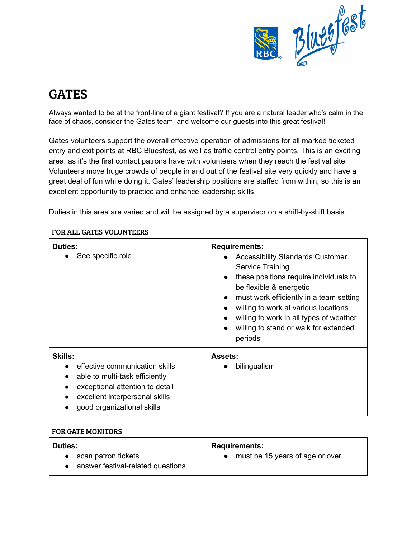

# GATES

Always wanted to be at the front-line of a giant festival? If you are a natural leader who's calm in the face of chaos, consider the Gates team, and welcome our guests into this great festival!

Gates volunteers support the overall effective operation of admissions for all marked ticketed entry and exit points at RBC Bluesfest, as well as traffic control entry points. This is an exciting area, as it's the first contact patrons have with volunteers when they reach the festival site. Volunteers move huge crowds of people in and out of the festival site very quickly and have a great deal of fun while doing it. Gates' leadership positions are staffed from within, so this is an excellent opportunity to practice and enhance leadership skills.

Duties in this area are varied and will be assigned by a supervisor on a shift-by-shift basis.

| Duties:<br>See specific role                                                                                                                                                          | <b>Requirements:</b><br><b>Accessibility Standards Customer</b><br>$\bullet$<br>Service Training<br>these positions require individuals to<br>$\bullet$<br>be flexible & energetic<br>must work efficiently in a team setting<br>$\bullet$<br>willing to work at various locations<br>willing to work in all types of weather<br>willing to stand or walk for extended<br>$\bullet$<br>periods |
|---------------------------------------------------------------------------------------------------------------------------------------------------------------------------------------|------------------------------------------------------------------------------------------------------------------------------------------------------------------------------------------------------------------------------------------------------------------------------------------------------------------------------------------------------------------------------------------------|
| <b>Skills:</b><br>effective communication skills<br>able to multi-task efficiently<br>exceptional attention to detail<br>excellent interpersonal skills<br>good organizational skills | <b>Assets:</b><br>bilingualism                                                                                                                                                                                                                                                                                                                                                                 |

## FOR ALL GATES VOLUNTEERS

## FOR GATE MONITORS

| <b>Duties:</b>                                               | <b>Requirements:</b>              |
|--------------------------------------------------------------|-----------------------------------|
| • scan patron tickets<br>• answer festival-related questions | • must be 15 years of age or over |